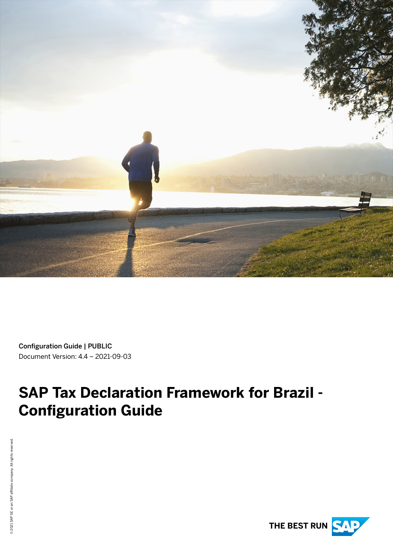

Configuration Guide | PUBLIC Document Version: 4.4 – 2021-09-03

# **SAP Tax Declaration Framework for Brazil - Configuration Guide**

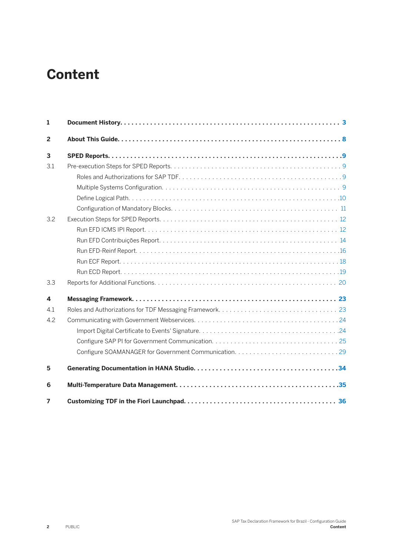## **Content**

| $\mathbf{1}$   |  |
|----------------|--|
| $\overline{2}$ |  |
| 3              |  |
| 3.1            |  |
|                |  |
|                |  |
|                |  |
|                |  |
| 3.2            |  |
|                |  |
|                |  |
|                |  |
|                |  |
|                |  |
| 3.3            |  |
| 4              |  |
| 4.1            |  |
| 4.2            |  |
|                |  |
|                |  |
|                |  |
| 5              |  |
| 6              |  |
| 7              |  |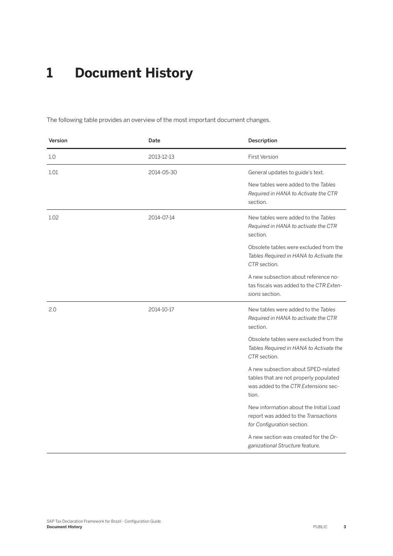## <span id="page-2-0"></span>**1 Document History**

The following table provides an overview of the most important document changes.

| Version | Date       | Description                                                                                                                    |
|---------|------------|--------------------------------------------------------------------------------------------------------------------------------|
| 1.0     | 2013-12-13 | <b>First Version</b>                                                                                                           |
| 1.01    | 2014-05-30 | General updates to guide's text.                                                                                               |
|         |            | New tables were added to the Tables<br>Required in HANA to Activate the CTR<br>section.                                        |
| 1.02    | 2014-07-14 | New tables were added to the Tables<br>Required in HANA to activate the CTR<br>section.                                        |
|         |            | Obsolete tables were excluded from the<br>Tables Required in HANA to Activate the<br>CTR section.                              |
|         |            | A new subsection about reference no-<br>tas fiscais was added to the CTR Exten-<br>sions section.                              |
| 2.0     | 2014-10-17 | New tables were added to the Tables<br>Required in HANA to activate the CTR<br>section.                                        |
|         |            | Obsolete tables were excluded from the<br>Tables Required in HANA to Activate the<br>CTR section.                              |
|         |            | A new subsection about SPED-related<br>tables that are not properly populated<br>was added to the CTR Extensions sec-<br>tion. |
|         |            | New information about the Initial Load<br>report was added to the Transactions<br>for Configuration section.                   |
|         |            | A new section was created for the Or-<br>ganizational Structure feature.                                                       |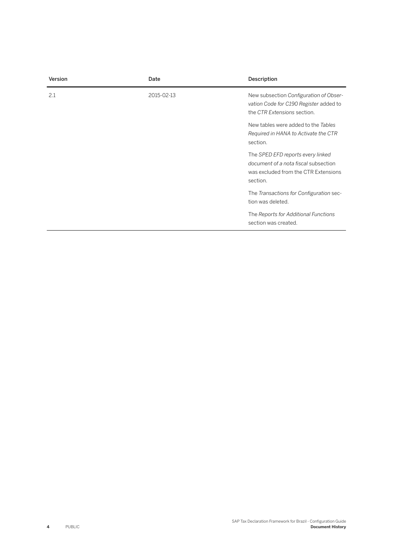| <b>Version</b> | Date       | Description                                                                                                                   |
|----------------|------------|-------------------------------------------------------------------------------------------------------------------------------|
| 2.1            | 2015-02-13 | New subsection Configuration of Obser-<br>vation Code for C190 Register added to<br>the CTR Extensions section.               |
|                |            | New tables were added to the Tables<br>Required in HANA to Activate the CTR<br>section.                                       |
|                |            | The SPED EFD reports every linked<br>document of a nota fiscal subsection<br>was excluded from the CTR Extensions<br>section. |
|                |            | The Transactions for Configuration sec-<br>tion was deleted.                                                                  |
|                |            | The Reports for Additional Functions<br>section was created.                                                                  |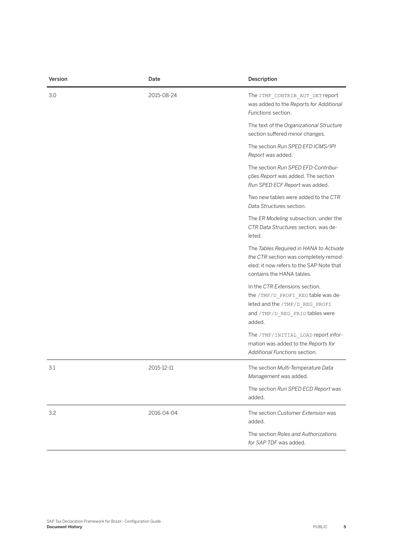| Version | Date       | Description                                                                                                                                               |
|---------|------------|-----------------------------------------------------------------------------------------------------------------------------------------------------------|
| 3.0     | 2015-08-24 | The ITMF_CONTRIB_AUT_DET report<br>was added to the Reports for Additional<br>Functions section.                                                          |
|         |            | The text of the Organizational Structure<br>section suffered minor changes.                                                                               |
|         |            | The section Run SPED EFD ICMS/IPI<br>Report was added.                                                                                                    |
|         |            | The section Run SPED EFD-Contribui-<br>ções Report was added. The section<br>Run SPED ECF Report was added.                                               |
|         |            | Two new tables were added to the CTR<br>Data Structures section.                                                                                          |
|         |            | The ER Modeling subsection, under the<br>CTR Data Structures section, was de-<br>leted.                                                                   |
|         |            | The Tables Required in HANA to Activate<br>the CTR section was completely remod-<br>eled; it now refers to the SAP Note that<br>contains the HANA tables. |
|         |            | In the CTR Extensions section,<br>the /TMF/D_PROFI_REG table was de-<br>leted and the /TMF/D_REG_PROFI<br>and /TMF/D_REG_PRIO tables were<br>added.       |
|         |            | The /TMF/INITIAL_LOAD report infor-<br>mation was added to the Reports for<br>Additional Functions section.                                               |
| 3.1     | 2015-12-11 | The section Multi-Temperature Data<br>Management was added.                                                                                               |
|         |            | The section Run SPED ECD Report was<br>added.                                                                                                             |
| 3.2     | 2016-04-04 | The section Customer Extension was<br>added.                                                                                                              |
|         |            | The section Roles and Authorizations<br>for SAP TDF was added.                                                                                            |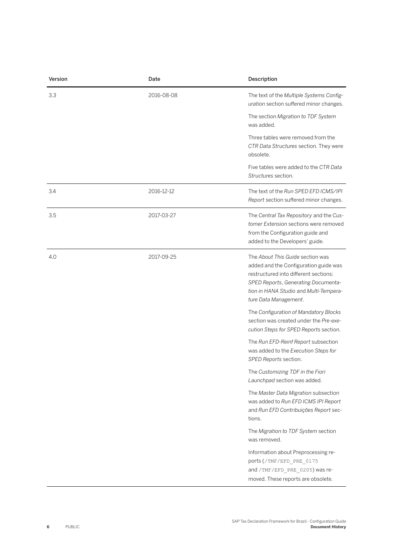| Version | Date       | Description                                                                                                                                                                                                                  |
|---------|------------|------------------------------------------------------------------------------------------------------------------------------------------------------------------------------------------------------------------------------|
| 3.3     | 2016-08-08 | The text of the Multiple Systems Config-<br>uration section suffered minor changes.                                                                                                                                          |
|         |            | The section Migration to TDF System<br>was added.                                                                                                                                                                            |
|         |            | Three tables were removed from the<br>CTR Data Structures section. They were<br>obsolete.                                                                                                                                    |
|         |            | Five tables were added to the CTR Data<br>Structures section.                                                                                                                                                                |
| 3.4     | 2016-12-12 | The text of the Run SPED EFD ICMS/IPI<br>Report section suffered minor changes.                                                                                                                                              |
| 3.5     | 2017-03-27 | The Central Tax Repository and the Cus-<br>tomer Extension sections were removed<br>from the Configuration guide and<br>added to the Developers' guide.                                                                      |
| 4.0     | 2017-09-25 | The About This Guide section was<br>added and the Configuration guide was<br>restructured into different sections:<br>SPED Reports, Generating Documenta-<br>tion in HANA Studio and Multi-Tempera-<br>ture Data Management. |
|         |            | The Configuration of Mandatory Blocks<br>section was created under the Pre-exe-<br>cution Steps for SPED Reports section.                                                                                                    |
|         |            | The Run EFD-Reinf Report subsection<br>was added to the Execution Steps for<br>SPED Reports section.                                                                                                                         |
|         |            | The Customizing TDF in the Fiori<br>Launchpad section was added.                                                                                                                                                             |
|         |            | The Master Data Migration subsection<br>was added to Run EFD ICMS IPI Report<br>and Run EFD Contribuições Report sec-<br>tions.                                                                                              |
|         |            | The Migration to TDF System section<br>was removed.                                                                                                                                                                          |
|         |            | Information about Preprocessing re-<br>ports (/TMF/EFD_PRE_0175<br>and / TMF/EFD PRE 0205) was re-<br>moved. These reports are obsolete.                                                                                     |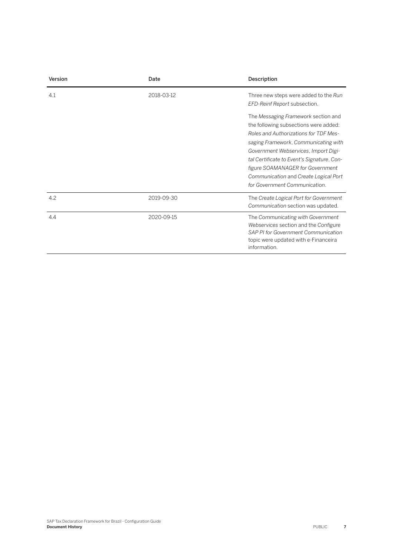| Version | Date       | Description                                                                                                                                                                                                                                                                                                                                                       |
|---------|------------|-------------------------------------------------------------------------------------------------------------------------------------------------------------------------------------------------------------------------------------------------------------------------------------------------------------------------------------------------------------------|
| 4.1     | 2018-03-12 | Three new steps were added to the Run<br>EFD-Reinf Report subsection.                                                                                                                                                                                                                                                                                             |
|         |            | The Messaging Framework section and<br>the following subsections were added:<br>Roles and Authorizations for TDF Mes-<br>saging Framework, Communicating with<br>Government Webservices, Import Digi-<br>tal Certificate to Event's Signature, Con-<br>figure SOAMANAGER for Government<br>Communication and Create Logical Port<br>for Government Communication. |
| 4.2     | 2019-09-30 | The Create Logical Port for Government<br>Communication section was updated.                                                                                                                                                                                                                                                                                      |
| 4.4     | 2020-09-15 | The Communicating with Government<br>Webservices section and the Configure<br>SAP PI for Government Communication<br>topic were updated with e-Financeira<br>information.                                                                                                                                                                                         |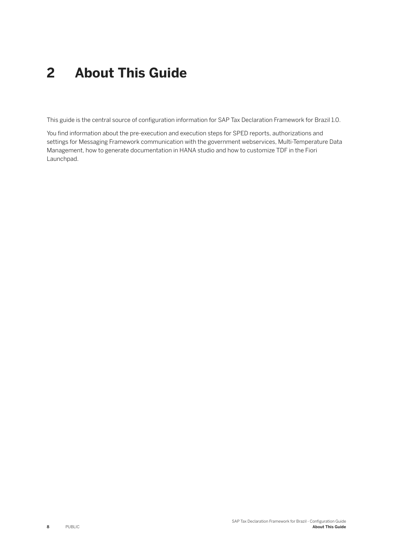## <span id="page-7-0"></span>**2 About This Guide**

This guide is the central source of configuration information for SAP Tax Declaration Framework for Brazil 1.0.

You find information about the pre-execution and execution steps for SPED reports, authorizations and settings for Messaging Framework communication with the government webservices, Multi-Temperature Data Management, how to generate documentation in HANA studio and how to customize TDF in the Fiori Launchpad.

**8** PUBLIC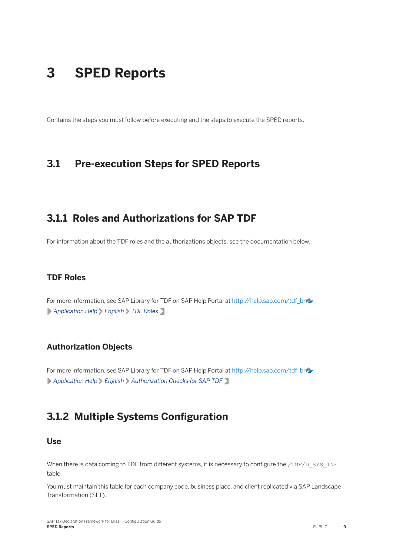## <span id="page-8-0"></span>**3 SPED Reports**

Contains the steps you must follow before executing and the steps to execute the SPED reports.

### **3.1 Pre-execution Steps for SPED Reports**

### **3.1.1 Roles and Authorizations for SAP TDF**

For information about the TDF roles and the authorizations objects, see the documentation below.

#### **TDF Roles**

For more information, see SAP Library for TDF on SAP Help Portal at [http://help.sap.com/tdf\\_br](http://help.sap.com/disclaimer?site=http%3A%2F%2Fhelp.sap.com%2Ftdf_br)ear *Application Help English TDF Roles* .

#### **Authorization Objects**

For more information, see SAP Library for TDF on SAP Help Portal at [http://help.sap.com/tdf\\_br](http://help.sap.com/disclaimer?site=http%3A%2F%2Fhelp.sap.com%2Ftdf_br) *Application Help English Authorization Checks for SAP TDF* .

## **3.1.2 Multiple Systems Configuration**

#### **Use**

When there is data coming to TDF from different systems, it is necessary to configure the /TMF/D\_SYS\_INF table.

You must maintain this table for each company code, business place, and client replicated via SAP Landscape Transformation (SLT).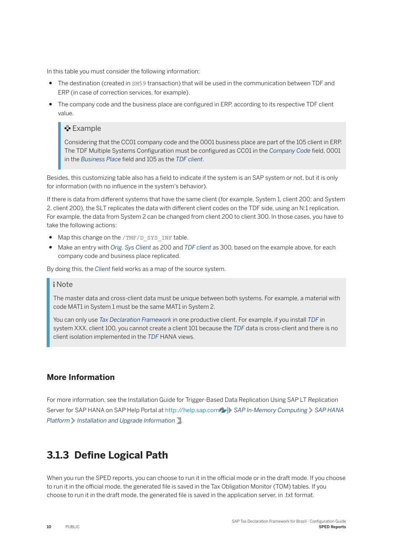<span id="page-9-0"></span>In this table you must consider the following information:

- The destination (created in SM59 transaction) that will be used in the communication between TDF and ERP (in case of correction services, for example).
- The company code and the business place are configured in ERP, according to its respective TDF client value.

#### <sup>•</sup>• Example

Considering that the CC01 company code and the 0001 business place are part of the 105 client in ERP. The TDF Multiple Systems Configuration must be configured as CC01 in the *Company Code* field, 0001 in the *Business Place* field and 105 as the *TDF client*.

Besides, this customizing table also has a field to indicate if the system is an SAP system or not, but it is only for information (with no influence in the system's behavior).

If there is data from different systems that have the same client (for example, System 1, client 200; and System 2, client 200), the SLT replicates the data with different client codes on the TDF side, using an N:1 replication. For example, the data from System 2 can be changed from client 200 to client 300. In those cases, you have to take the following actions:

- Map this change on the /TMF/D SYS INF table.
- Make an entry with *Orig. Sys Client* as 200 and *TDF client* as 300, based on the example above, for each company code and business place replicated.

By doing this, the *Client* field works as a map of the source system.

#### i Note

The master data and cross-client data must be unique between both systems. For example, a material with code MAT1 in System 1 must be the same MAT1 in System 2.

You can only use *Tax Declaration Framework* in one productive client. For example, if you install *TDF* in system XXX, client 100, you cannot create a client 101 because the *TDF* data is cross-client and there is no client isolation implemented in the *TDF* HANA views.

#### **More Information**

For more information, see the Installation Guide for Trigger-Based Data Replication Using SAP LT Replication Server for SAP HANA on SAP Help Portal at [http://help.sap.com](http://help.sap.com/disclaimer?site=http%3A%2F%2Fhelp.sap.com) *SAP In-Memory Computing SAP HANA Platform Installation and Upgrade Information* .

### **3.1.3 Define Logical Path**

When you run the SPED reports, you can choose to run it in the official mode or in the draft mode. If you choose to run it in the official mode, the generated file is saved in the Tax Obligation Monitor (TOM) tables. If you choose to run it in the draft mode, the generated file is saved in the application server, in .txt format.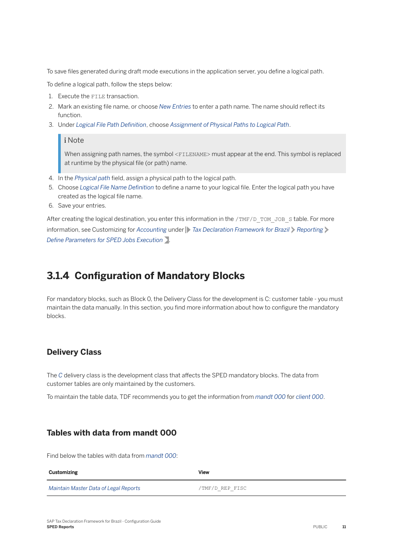<span id="page-10-0"></span>To save files generated during draft mode executions in the application server, you define a logical path.

To define a logical path, follow the steps below:

- 1. Execute the FILE transaction.
- 2. Mark an existing file name, or choose *New Entries* to enter a path name. The name should reflect its function.
- 3. Under *Logical File Path DeʥnLtLon*, choose *Assignment of Physical Paths to Logical Path*.

#### i Note

When assigning path names, the symbol <FILENAME> must appear at the end. This symbol is replaced at runtime by the physical file (or path) name.

- 4. In the *Physical path* field, assign a physical path to the logical path.
- 5. Choose *Logical File Name Definition* to define a name to your logical file. Enter the logical path you have created as the logical file name.
- 6. Save your entries.

After creating the logical destination, you enter this information in the /TMF/D\_TOM\_JOB\_S table. For more information, see Customizing for *Accounting* under *Tax Declaration Framework for Brazil Reporting Define Parameters for SPED Jobs Execution*.

## **3.1.4 Configuration of Mandatory Blocks**

For mandatory blocks, such as Block 0, the Delivery Class for the development is C: customer table - you must maintain the data manually. In this section, you find more information about how to configure the mandatory blocks.

#### **Delivery Class**

The *C* delivery class is the development class that affects the SPED mandatory blocks. The data from customer tables are only maintained by the customers.

To maintain the table data, TDF recommends you to get the information from *mandt 000* for *client 000*.

#### **Tables with data from mandt 000**

Find below the tables with data from *mandt 000*:

| Customizing                           | <b>View</b>     |
|---------------------------------------|-----------------|
| Maintain Master Data of Legal Reports | /TMF/D REP FISC |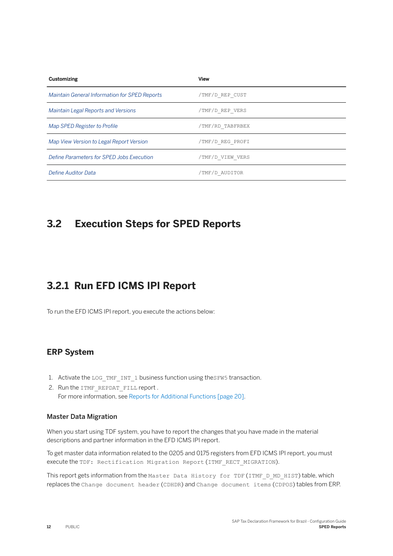<span id="page-11-0"></span>

| <b>Customizing</b>                            | <b>View</b>      |
|-----------------------------------------------|------------------|
| Maintain General Information for SPED Reports | /TMF/D REP CUST  |
| <b>Maintain Legal Reports and Versions</b>    | /TMF/D REP VERS  |
| Map SPED Register to Profile                  | /TMF/RD TABFRBEX |
| Map View Version to Legal Report Version      | /TMF/D REG PROFI |
| Define Parameters for SPED Jobs Execution     | /TMF/D VIEW VERS |
| Define Auditor Data                           | /TMF/D AUDITOR   |

### **3.2 Execution Steps for SPED Reports**

## **3.2.1 Run EFD ICMS IPI Report**

To run the EFD ICMS IPI report, you execute the actions below:

#### **ERP System**

- 1. Activate the LOG TMF INT 1 business function using theSFW5 transaction.
- 2. Run the ITMF\_REPDAT\_FILL report . For more information, see [Reports for Additional Functions \[page 20\].](#page-19-0)

#### Master Data Migration

When you start using TDF system, you have to report the changes that you have made in the material descriptions and partner information in the EFD ICMS IPI report.

To get master data information related to the 0205 and 0175 registers from EFD ICMS IPI report, you must execute the TDF: Rectification Migration Report (ITMF\_RECT\_MIGRATION).

This report gets information from the Master Data History for TDF (ITMF D\_MD\_HIST) table, which replaces the Change document header (CDHDR) and Change document items (CDPOS) tables from ERP.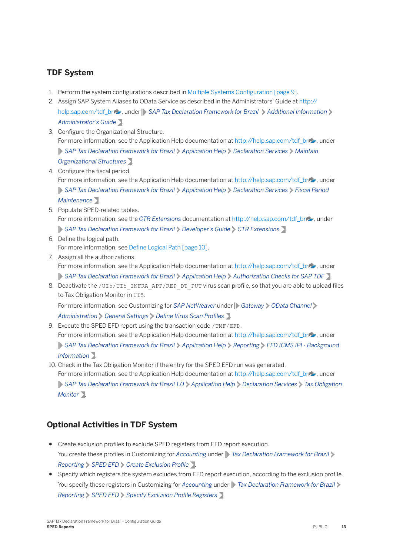#### **TDF System**

- 1. Perform the system configurations described in Multiple Systems Configuration [page 9].
- 2. Assign SAP System Aliases to OData Service as described in the Administrators' Guide at [http://](http://help.sap.com/disclaimer?site=http%3A%2F%2Fhelp.sap.com%2Ftdf_br) [help.sap.com/tdf\\_br](http://help.sap.com/disclaimer?site=http%3A%2F%2Fhelp.sap.com%2Ftdf_br) , under **SAP Tax Declaration Framework for Brazil** Additional Information *Administrator's Guide* .
- 3. Configure the Organizational Structure. For more information, see the Application Help documentation at [http://help.sap.com/tdf\\_br](http://help.sap.com/disclaimer?site=http%3A%2F%2Fhelp.sap.com%2Ftdf_br) , under *SAP Tax Declaration Framework for Brazil Application Help Declaration Services Maintain Organizational Structures* .
- 4. Configure the fiscal period. For more information, see the Application Help documentation at [http://help.sap.com/tdf\\_br](http://help.sap.com/disclaimer?site=http%3A%2F%2Fhelp.sap.com%2Ftdf_br) , under *SAP Tax Declaration Framework for Brazil Application Help Declaration Services Fiscal Period Maintenance* .
- 5. Populate SPED-related tables. For more information, see the *CTR Extensions* documentation at [http://help.sap.com/tdf\\_br](http://help.sap.com/disclaimer?site=http%3A%2F%2Fhelp.sap.com%2Ftdf_br) , under *SAP Tax Declaration Framework for Brazil Developer's Guide CTR Extensions* .
- 6. Define the logical path. For more information, see [Define Logical Path \[page 10\].](#page-9-0)
- 7. Assign all the authorizations. For more information, see the Application Help documentation at [http://help.sap.com/tdf\\_br](http://help.sap.com/disclaimer?site=http%3A%2F%2Fhelp.sap.com%2Ftdf_br)  $\blacktriangleright$ , under *SAP Tax Declaration Framework for Brazil Application Help Authorization Checks for SAP TDF* .
- 8. Deactivate the /UI5/UI5\_INFRA\_APP/REP\_DT\_PUT virus scan profile, so that you are able to upload files to Tax Obligation Monitor in UI5. For more information, see Customizing for *SAP NetWeaver* under *Gateway OData Channel*

*Administration General Settings Define Virus Scan Profiles* .

- 9. Execute the SPED EFD report using the transaction code /TMF/EFD. For more information, see the Application Help documentation at [http://help.sap.com/tdf\\_br](http://help.sap.com/disclaimer?site=http%3A%2F%2Fhelp.sap.com%2Ftdf_br) , under *SAP Tax Declaration Framework for Brazil Application Help Reporting EFD ICMS IPI - Background Information* .
- 10. Check in the Tax Obligation Monitor if the entry for the SPED EFD run was generated. For more information, see the Application Help documentation at [http://help.sap.com/tdf\\_br](http://help.sap.com/disclaimer?site=http%3A%2F%2Fhelp.sap.com%2Ftdf_br) , under *SAP Tax Declaration Framework for Brazil 1.0 Application Help Declaration Services Tax Obligation Monitor* .

### **Optional Activities in TDF System**

- Create exclusion profiles to exclude SPED registers from EFD report execution. You create these profiles in Customizing for *Accounting* under *Tax Declaration Framework for Brazil Reporting*  $\triangleright$  *SPED EFD*  $\triangleright$  *Create Exclusion Profile*  $\triangleright$ .
- Specify which registers the system excludes from EFD report execution, according to the exclusion profile. You specify these registers in Customizing for *Accounting* under **T** Tax Declaration Framework for Brazil *Reporting SPED EFD Specify Exclusion Profile Registers* .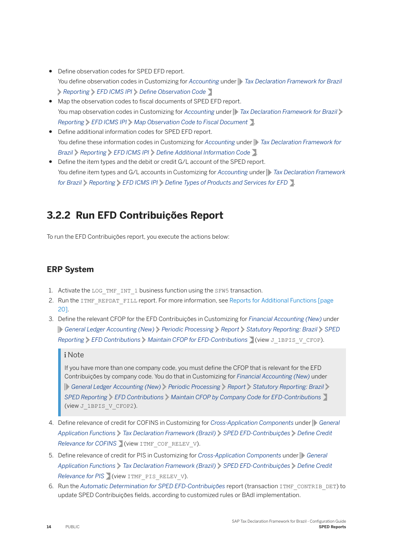- <span id="page-13-0"></span>● Define observation codes for SPED EFD report. You define observation codes in Customizing for *Accounting* under **T**ax Declaration Framework for Brazil **Reporting** *EFD ICMS IPI Define Observation Code*
- Map the observation codes to fiscal documents of SPED EFD report. You map observation codes in Customizing for *Accounting* under *Tax Declaration Framework for Brazil Reporting EFD ICMS IPI Map Observation Code to Fiscal Document* .
- Define additional information codes for SPED EFD report. You define these information codes in Customizing for *Accounting* under *Tax Declaration Framework for*  **Brazil**  $\triangleright$  *Reporting*  $\triangleright$  *EFD ICMS IPI*  $\triangleright$  *Define Additional Information Code*  $\triangleright$ .
- Define the item types and the debit or credit G/L account of the SPED report. You define item types and G/L accounts in Customizing for *Accounting* under **T** Tax Declaration Framework *for Brazil*  $\triangleright$  *Reporting*  $\triangleright$  *EFD ICMS IPI*  $\triangleright$  *Define Types of Products and Services for EFD*  $\triangleright$ .

## **3.2.2 Run EFD Contribuições Report**

To run the EFD Contribuições report, you execute the actions below:

#### **ERP System**

- 1. Activate the LOG TMF INT 1 business function using the SFW5 transaction.
- 2. Run the ITMF\_REPDAT\_FILL report. For more information, see [Reports for Additional Functions \[page](#page-19-0) [20\]](#page-19-0).
- 3. Define the relevant CFOP for the EFD Contribuições in Customizing for *Financial Accounting (New)* under *General Ledger Accounting (New) Periodic Processing Report Statutory Reporting: Brazil SPED Reporting EFD Contributions Maintain CFOP for EFD-Contributions* (view J\_1BPIS\_V\_CFOP).

#### i Note

If you have more than one company code, you must define the CFOP that is relevant for the EFD Contribuições by company code. You do that in Customizing for *Financial Accounting (New)* under *General Ledger Accounting (New) Periodic Processing Report Statutory Reporting: Brazil SPED Reporting EFD Contributions Maintain CFOP by Company Code for EFD-Contributions* (view J 1BPIS V CFOP2).

- 4. Define relevance of credit for COFINS in Customizing for *Cross-Application Components* under *General Application Functions Tax Declaration Framework (Brazil) SPED EFD-Contribuições Deʥne Credit Relevance for COFINS* (view ITMF COF RELEV V).
- 5. Define relevance of credit for PIS in Customizing for *Cross-Application Components* under *General Application Functions Tax Declaration Framework (Brazil) SPED EFD-Contribuições* > Define Credit *Relevance for PIS* (view ITMF\_PIS\_RELEV\_V).
- 6. Run the *Automatic Determination for SPED EFD-Contribuições* report (transaction ITMF\_CONTRIB\_DET) to update SPED Contribuições fields, according to customized rules or BAdI implementation.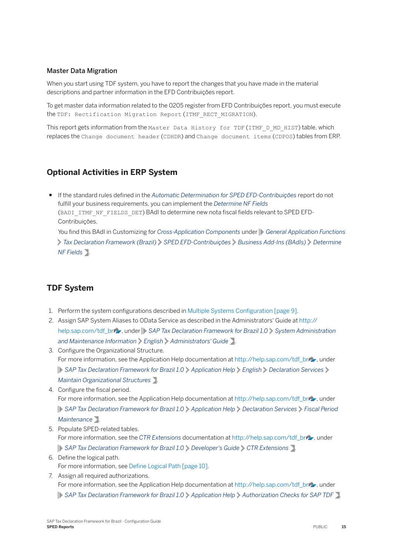#### Master Data Migration

When you start using TDF system, you have to report the changes that you have made in the material descriptions and partner information in the EFD Contribuições report.

To get master data information related to the 0205 register from EFD Contribuições report, you must execute the TDF: Rectification Migration Report (ITMF\_RECT\_MIGRATION).

This report gets information from the Master Data History for TDF (ITMF D\_MD\_HIST) table, which replaces the Change document header (CDHDR) and Change document items (CDPOS) tables from ERP.

#### **Optional Activities in ERP System**

● If the standard rules defined in the *Automatic Determination for SPED EFD-Contribuições* report do not fulfill your business requirements, you can implement the *Determine NF Fields* (BADI ITMF NF FIELDS DET) BAdI to determine new nota fiscal fields relevant to SPED EFD-Contribuições.

You find this BAdI in Customizing for *Cross-Application Components* under **General Application Functions** *Tax Declaration Framework (Brazil) SPED EFD-Contribuições Business Add-Ins (BAdIs) Determine NF Fields* .

#### **TDF System**

- 1. Perform the system configurations described in Multiple Systems Configuration [page 9].
- 2. Assign SAP System Aliases to OData Service as described in the Administrators' Guide at [http://](http://help.sap.com/disclaimer?site=http%3A%2F%2Fhelp.sap.com%2Ftdf_br) [help.sap.com/tdf\\_br](http://help.sap.com/disclaimer?site=http%3A%2F%2Fhelp.sap.com%2Ftdf_br)  $\rightarrow$  under **SAP Tax Declaration Framework for Brazil 1.0** > System Administration *and Maintenance Information English Administrators' Guide* .
- 3. Configure the Organizational Structure. For more information, see the Application Help documentation at [http://help.sap.com/tdf\\_br](http://help.sap.com/disclaimer?site=http%3A%2F%2Fhelp.sap.com%2Ftdf_br) , under *SAP Tax Declaration Framework for Brazil 1.0 Application Help English Declaration Services Maintain Organizational Structures* .
- 4. Configure the fiscal period. For more information, see the Application Help documentation at [http://help.sap.com/tdf\\_br](http://help.sap.com/disclaimer?site=http%3A%2F%2Fhelp.sap.com%2Ftdf_br) , under *SAP Tax Declaration Framework for Brazil 1.0 Application Help Declaration Services Fiscal Period Maintenance* .
- 5. Populate SPED-related tables. For more information, see the *CTR Extensions* documentation at [http://help.sap.com/tdf\\_br](http://help.sap.com/disclaimer?site=http%3A%2F%2Fhelp.sap.com%2Ftdf_br) , under *SAP Tax Declaration Framework for Brazil 1.0 Developer's Guide CTR Extensions* .
- 6. Define the logical path. For more information, see [Define Logical Path \[page 10\].](#page-9-0)
- 7. Assign all required authorizations. For more information, see the Application Help documentation at [http://help.sap.com/tdf\\_br](http://help.sap.com/disclaimer?site=http%3A%2F%2Fhelp.sap.com%2Ftdf_br) , under **SAP Tax Declaration Framework for Brazil 1.0** Application Help > Authorization Checks for SAP TDF .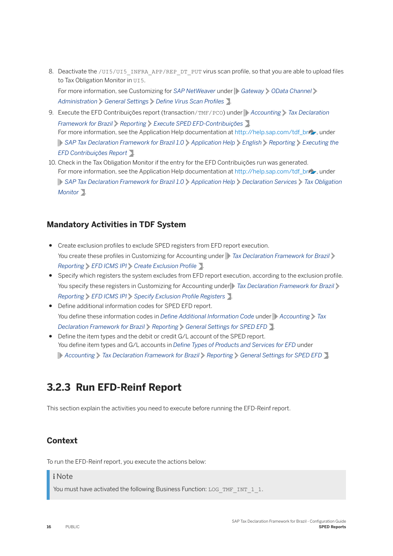<span id="page-15-0"></span>8. Deactivate the /UI5/UI5\_INFRA\_APP/REP\_DT\_PUT virus scan profile, so that you are able to upload files to Tax Obligation Monitor in UI5. For more information, see Customizing for *SAP NetWeaver* under *Gateway OData Channel*

*Administration General Settings Define Virus Scan Profiles* .

- 9. Execute the EFD Contribuições report (transaction/TMF/PCO) under **Accounting** *Tax Declaration Framework for Brazil Reporting Execute SPED EFD-Contribuições* . For more information, see the Application Help documentation at [http://help.sap.com/tdf\\_br](http://help.sap.com/disclaimer?site=http%3A%2F%2Fhelp.sap.com%2Ftdf_br) , under *SAP Tax Declaration Framework for Brazil 1.0 Application Help English Reporting Executing the EFD Contribuições Report* .
- 10. Check in the Tax Obligation Monitor if the entry for the EFD Contribuições run was generated. For more information, see the Application Help documentation at [http://help.sap.com/tdf\\_br](http://help.sap.com/disclaimer?site=http%3A%2F%2Fhelp.sap.com%2Ftdf_br) , under *SAP Tax Declaration Framework for Brazil 1.0 Application Help Declaration Services Tax Obligation Monitor* .

#### **Mandatory Activities in TDF System**

- Create exclusion profiles to exclude SPED registers from EFD report execution. You create these profiles in Customizing for Accounting under **T**ax Declaration Framework for Brazil *Reporting EFD ICMS IPI Create Exclusion Profile* .
- Specify which registers the system excludes from EFD report execution, according to the exclusion profile. You specify these registers in Customizing for Accounting under *Tax Declaration Framework for Brazil Reporting EFD ICMS IPI Specify Exclusion Profile Registers* **1.**
- Define additional information codes for SPED EFD report. You define these information codes in *Define Additional Information Code* under **Accounting** Tax *Declaration Framework for Brazil Reporting General Settings for SPED EFD* .
- Define the item types and the debit or credit G/L account of the SPED report. You define item types and G/L accounts in *Define Types of Products and Services for EFD* under *Accounting Tax Declaration Framework for Brazil Reporting General Settings for SPED EFD* .

## **3.2.3 Run EFD-Reinf Report**

This section explain the activities you need to execute before running the EFD-Reinf report.

#### **Context**

To run the EFD-Reinf report, you execute the actions below:

#### i Note

You must have activated the following Business Function: LOG\_TMF\_INT\_1\_1.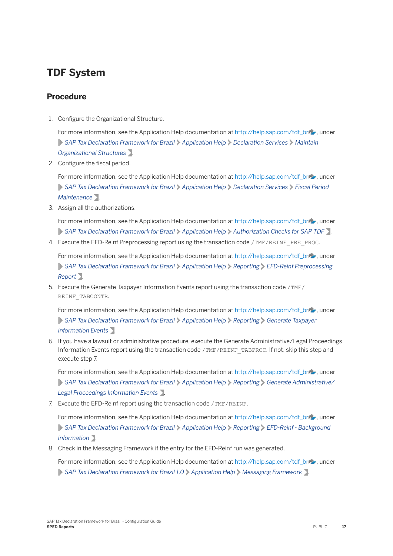## **TDF System**

#### **Procedure**

1. Configure the Organizational Structure.

For more information, see the Application Help documentation at [http://help.sap.com/tdf\\_br](http://help.sap.com/disclaimer?site=http%3A%2F%2Fhelp.sap.com%2Ftdf_br) , under *SAP Tax Declaration Framework for Brazil Application Help Declaration Services Maintain Organizational Structures* .

2. Configure the fiscal period.

For more information, see the Application Help documentation at [http://help.sap.com/tdf\\_br](http://help.sap.com/disclaimer?site=http%3A%2F%2Fhelp.sap.com%2Ftdf_br)/s, under *SAP Tax Declaration Framework for Brazil Application Help Declaration Services Fiscal Period Maintenance* .

3. Assign all the authorizations.

For more information, see the Application Help documentation at [http://help.sap.com/tdf\\_br](http://help.sap.com/disclaimer?site=http%3A%2F%2Fhelp.sap.com%2Ftdf_br) , under *SAP Tax Declaration Framework for Brazil Application Help Authorization Checks for SAP TDF* .

4. Execute the EFD-Reinf Preprocessing report using the transaction code /TMF/REINF\_PRE\_PROC.

For more information, see the Application Help documentation at [http://help.sap.com/tdf\\_br](http://help.sap.com/disclaimer?site=http%3A%2F%2Fhelp.sap.com%2Ftdf_br) , under *SAP Tax Declaration Framework for Brazil Application Help Reporting EFD-Reinf Preprocessing Report* .

5. Execute the Generate Taxpayer Information Events report using the transaction code /TMF/ REINF\_TABCONTR.

For more information, see the Application Help documentation at [http://help.sap.com/tdf\\_br](http://help.sap.com/disclaimer?site=http%3A%2F%2Fhelp.sap.com%2Ftdf_br)  $\rightarrow$ , under *SAP Tax Declaration Framework for Brazil Application Help Reporting Generate Taxpayer Information Events* .

6. If you have a lawsuit or administrative procedure, execute the Generate Administrative/Legal Proceedings Information Events report using the transaction code /TMF/REINF\_TABPROC. If not, skip this step and execute step 7.

For more information, see the Application Help documentation at [http://help.sap.com/tdf\\_br](http://help.sap.com/disclaimer?site=http%3A%2F%2Fhelp.sap.com%2Ftdf_br) , under *SAP Tax Declaration Framework for Brazil Application Help Reporting Generate Administrative/ Legal Proceedings Information Events* .

7. Execute the EFD-Reinf report using the transaction code /TMF/REINF.

For more information, see the Application Help documentation at [http://help.sap.com/tdf\\_br](http://help.sap.com/disclaimer?site=http%3A%2F%2Fhelp.sap.com%2Ftdf_br) , under *SAP Tax Declaration Framework for Brazil Application Help Reporting EFD-Reinf - Background Information* .

8. Check in the Messaging Framework if the entry for the EFD-Reinf run was generated.

For more information, see the Application Help documentation at [http://help.sap.com/tdf\\_br](http://help.sap.com/disclaimer?site=http%3A%2F%2Fhelp.sap.com%2Ftdf_br) , under *SAP Tax Declaration Framework for Brazil 1.0 Application Help Messaging Framework* .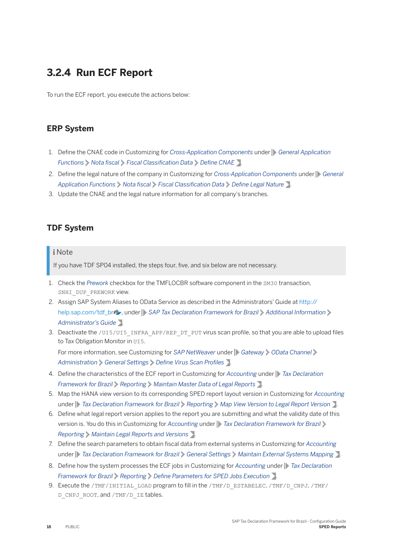## <span id="page-17-0"></span>**3.2.4 Run ECF Report**

To run the ECF report, you execute the actions below:

#### **ERP System**

- 1. Define the CNAE code in Customizing for *Cross-Application Components* under **General Application** *Functions > Nota fiscal > Fiscal Classification Data > Define CNAE 7.*
- 2. Define the legal nature of the company in Customizing for *Cross-Application Components* under *General Application Functions Mota fiscal Fiscal Classification Data Define Legal Nature* .
- 3. Update the CNAE and the legal nature information for all company's branches.

#### **TDF System**

#### i Note

If you have TDF SP04 installed, the steps four, five, and six below are not necessary.

- 1. Check the *Prework* checkbox for the TMFLOCBR software component in the SM30 transaction, SNHI\_DUP\_PREWORK view.
- 2. Assign SAP System Aliases to OData Service as described in the Administrators' Guide at [http://](http://help.sap.com/disclaimer?site=http%3A%2F%2Fhelp.sap.com%2Ftdf_br) [help.sap.com/tdf\\_br](http://help.sap.com/disclaimer?site=http%3A%2F%2Fhelp.sap.com%2Ftdf_br)  $\rightarrow$  , under **SAP Tax Declaration Framework for Brazil** > Additional Information *Administrator's Guide* .
- 3. Deactivate the /UI5/UI5\_INFRA\_APP/REP\_DT\_PUT virus scan profile, so that you are able to upload files to Tax Obligation Monitor in UI5.

For more information, see Customizing for *SAP NetWeaver* under *Gateway OData Channel Administration General Settings Define Virus Scan Profiles* .

- 4. Define the characteristics of the ECF report in Customizing for *Accounting* under *Tax Declaration Framework for Brazil Reporting Maintain Master Data of Legal Reports* .
- 5. Map the HANA view version to its corresponding SPED report layout version in Customizing for *Accounting*  under **Tax Declaration Framework for Brazil** Reporting Map View Version to Legal Report Version
- 6. Define what legal report version applies to the report you are submitting and what the validity date of this version is. You do this in Customizing for *Accounting* under *Tax Declaration Framework for Brazil Reporting Maintain Legal Reports and Versions* .
- 7. Define the search parameters to obtain fiscal data from external systems in Customizing for *Accounting* under **Tax Declaration Framework for Brazil** General Settings Maintain External Systems Mapping  $\sum$ .
- 8. Define how the system processes the ECF jobs in Customizing for *Accounting* under **F** Tax Declaration *Framework for Brazil*  $\triangleright$  *Reporting*  $\triangleright$  *Define Parameters for SPED Jobs Execution*  $\triangleright$ .
- 9. Execute the /TMF/INITIAL LOAD program to fill in the /TMF/D\_ESTABELEC, /TMF/D\_CNPJ, /TMF/ D\_CNPJ\_ROOT, and /TMF/D\_IE tables.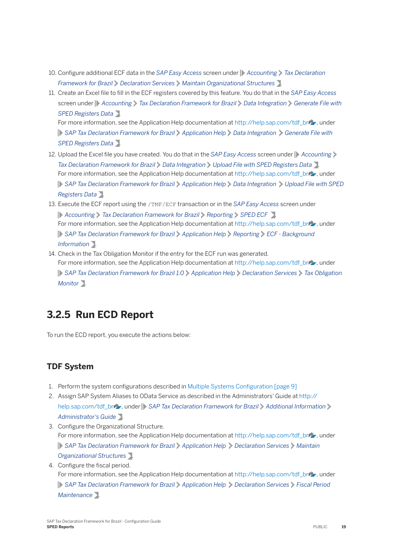- <span id="page-18-0"></span>10. Configure additional ECF data in the *SAP Easy Access* screen under **Accounting** *Tax Declaration Framework for Brazil Declaration Services Maintain Organizational Structures* .
- 11. Create an Excel file to fill in the ECF registers covered by this feature. You do that in the *SAP Easy Access* screen under **Accounting** *Tax Declaration Framework for Brazil Data Integration Generate File with SPED Registers Data* . For more information, see the Application Help documentation at [http://help.sap.com/tdf\\_br](http://help.sap.com/disclaimer?site=http%3A%2F%2Fhelp.sap.com%2Ftdf_br) , under **SAP Tax Declaration Framework for Brazil** Application Help Data Integration Senerate File with *SPED Registers Data* .
- 12. Upload the Excel file you have created. You do that in the *SAP Easy Access* screen under **Accounting** *Tax Declaration Framework for Brazil Data Integration Upload File with SPED Registers Data* . For more information, see the Application Help documentation at [http://help.sap.com/tdf\\_br](http://help.sap.com/disclaimer?site=http%3A%2F%2Fhelp.sap.com%2Ftdf_br) , under *SAP Tax Declaration Framework for Brazil Application Help Data Integration Upload File with SPED Registers Data* .
- 13. Execute the ECF report using the /TMF/ECF transaction or in the *SAP Easy Access* screen under *Accounting Tax Declaration Framework for Brazil Reporting SPED ECF* . For more information, see the Application Help documentation at [http://help.sap.com/tdf\\_br](http://help.sap.com/disclaimer?site=http%3A%2F%2Fhelp.sap.com%2Ftdf_br) , under *SAP Tax Declaration Framework for Brazil Application Help Reporting ECF - Background Information* .
- 14. Check in the Tax Obligation Monitor if the entry for the ECF run was generated. For more information, see the Application Help documentation at [http://help.sap.com/tdf\\_br](http://help.sap.com/disclaimer?site=http%3A%2F%2Fhelp.sap.com%2Ftdf_br) , under *SAP Tax Declaration Framework for Brazil 1.0 Application Help Declaration Services Tax Obligation Monitor* .

## **3.2.5 Run ECD Report**

To run the ECD report, you execute the actions below:

### **TDF System**

- 1. Perform the system configurations described in Multiple Systems Configuration [page 9]
- 2. Assign SAP System Aliases to OData Service as described in the Administrators' Guide at [http://](http://help.sap.com/disclaimer?site=http%3A%2F%2Fhelp.sap.com%2Ftdf_br) [help.sap.com/tdf\\_br](http://help.sap.com/disclaimer?site=http%3A%2F%2Fhelp.sap.com%2Ftdf_br)  $\rightarrow$  , under **SAP Tax Declaration Framework for Brazil** > Additional Information *Administrator's Guide* .
- 3. Configure the Organizational Structure. For more information, see the Application Help documentation at [http://help.sap.com/tdf\\_br](http://help.sap.com/disclaimer?site=http%3A%2F%2Fhelp.sap.com%2Ftdf_br) , under *SAP Tax Declaration Framework for Brazil Application Help Declaration Services Maintain Organizational Structures* .
- 4. Configure the fiscal period.

For more information, see the Application Help documentation at [http://help.sap.com/tdf\\_br](http://help.sap.com/disclaimer?site=http%3A%2F%2Fhelp.sap.com%2Ftdf_br) , under *SAP Tax Declaration Framework for Brazil Application Help Declaration Services Fiscal Period Maintenance* .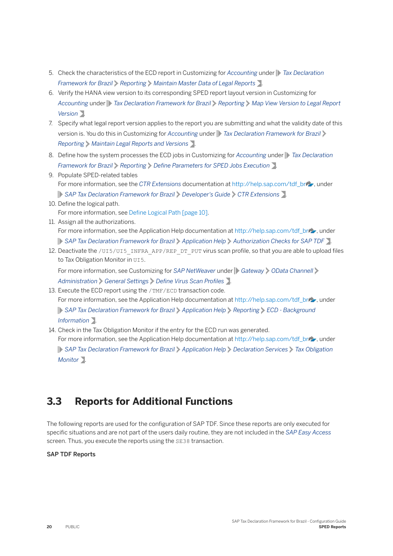- <span id="page-19-0"></span>5. Check the characteristics of the ECD report in Customizing for *Accounting* under *Tax Declaration Framework for Brazil Reporting Maintain Master Data of Legal Reports* .
- 6. Verify the HANA view version to its corresponding SPED report layout version in Customizing for *Accounting* under *Tax Declaration Framework for Brazil Reporting Map View Version to Legal Report Version* .
- 7. Specify what legal report version applies to the report you are submitting and what the validity date of this version is. You do this in Customizing for *Accounting* under **T**ax Declaration Framework for Brazil *Reporting Maintain Legal Reports and Versions* .
- 8. Define how the system processes the ECD jobs in Customizing for *Accounting* under **F** Tax Declaration *Framework for Brazil*  $\triangleright$  *Reporting*  $\triangleright$  *Define Parameters for SPED Jobs Execution*  $\triangleright$ .
- 9. Populate SPED-related tables For more information, see the *CTR Extensions* documentation at [http://help.sap.com/tdf\\_br](http://help.sap.com/disclaimer?site=http%3A%2F%2Fhelp.sap.com%2Ftdf_br) , under *SAP Tax Declaration Framework for Brazil Developer's Guide CTR Extensions* .
- 10. Define the logical path. For more information, see [Define Logical Path \[page 10\].](#page-9-0)
- 11. Assign all the authorizations. For more information, see the Application Help documentation at [http://help.sap.com/tdf\\_br](http://help.sap.com/disclaimer?site=http%3A%2F%2Fhelp.sap.com%2Ftdf_br)/2, under *SAP Tax Declaration Framework for Brazil Application Help Authorization Checks for SAP TDF* .
- 12. Deactivate the /UI5/UI5\_INFRA\_APP/REP\_DT\_PUT virus scan profile, so that you are able to upload files to Tax Obligation Monitor in UI5.

For more information, see Customizing for *SAP NetWeaver* under *Gateway OData Channell Administration General Settings Define Virus Scan Profiles* .

- 13. Execute the ECD report using the /TMF/ECD transaction code. For more information, see the Application Help documentation at [http://help.sap.com/tdf\\_br](http://help.sap.com/disclaimer?site=http%3A%2F%2Fhelp.sap.com%2Ftdf_br) , under *SAP Tax Declaration Framework for Brazil Application Help Reporting ECD - Background Information* .
- 14. Check in the Tax Obligation Monitor if the entry for the ECD run was generated. For more information, see the Application Help documentation at [http://help.sap.com/tdf\\_br](http://help.sap.com/disclaimer?site=http%3A%2F%2Fhelp.sap.com%2Ftdf_br) , under *SAP Tax Declaration Framework for Brazil Application Help Declaration Services Tax Obligation Monitor* .

## **3.3 Reports for Additional Functions**

The following reports are used for the configuration of SAP TDF. Since these reports are only executed for specific situations and are not part of the users daily routine, they are not included in the *SAP Easy Access* screen. Thus, you execute the reports using the SE38 transaction.

#### SAP TDF Reports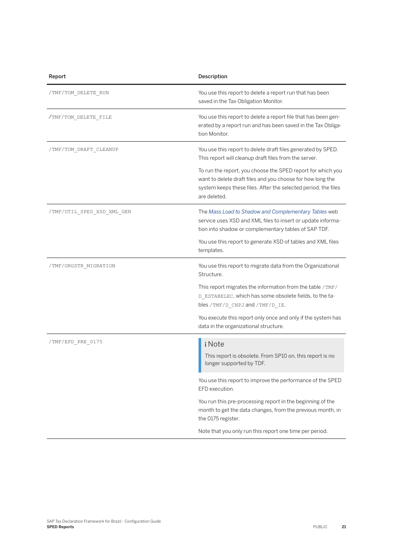| Report                     | Description                                                                                                                                                                                                 |
|----------------------------|-------------------------------------------------------------------------------------------------------------------------------------------------------------------------------------------------------------|
| /TMF/TOM DELETE RUN        | You use this report to delete a report run that has been<br>saved in the Tax Obligation Monitor.                                                                                                            |
| /TMF/TOM DELETE FILE       | You use this report to delete a report file that has been gen-<br>erated by a report run and has been saved in the Tax Obliga-<br>tion Monitor.                                                             |
| /TMF/TOM DRAFT CLEANUP     | You use this report to delete draft files generated by SPED.<br>This report will cleanup draft files from the server.                                                                                       |
|                            | To run the report, you choose the SPED report for which you<br>want to delete draft files and you choose for how long the<br>system keeps these files. After the selected period, the files<br>are deleted. |
| /TMF/UTIL SPED XSD XML GEN | The Mass Load to Shadow and Complementary Tables web<br>service uses XSD and XML files to insert or update informa-<br>tion into shadow or complementary tables of SAP TDF.                                 |
|                            | You use this report to generate XSD of tables and XML files<br>templates.                                                                                                                                   |
| /TMF/ORGSTR MIGRATION      | You use this report to migrate data from the Organizational<br>Structure.                                                                                                                                   |
|                            | This report migrates the information from the table /TMF/<br>D_ESTABELEC, which has some obsolete fields, to the ta-<br>bles / TMF/D_CNPJ and / TMF/D_IE.                                                   |
|                            | You execute this report only once and only if the system has<br>data in the organizational structure.                                                                                                       |
| /TMF/EFD_PRE_0175          | i Note<br>This report is obsolete. From SP10 on, this report is no<br>longer supported by TDF.                                                                                                              |
|                            | You use this report to improve the performance of the SPED<br>EFD execution.                                                                                                                                |
|                            | You run this pre-processing report in the beginning of the<br>month to get the data changes, from the previous month, in<br>the 0175 register.                                                              |
|                            | Note that you only run this report one time per period.                                                                                                                                                     |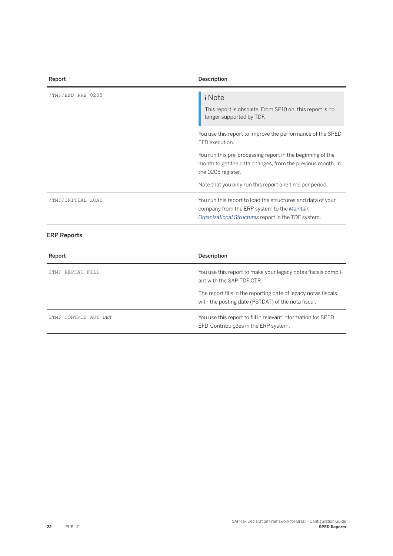| i Note                                                                                                                                                            |
|-------------------------------------------------------------------------------------------------------------------------------------------------------------------|
| This report is obsolete. From SP10 on, this report is no<br>longer supported by TDF.                                                                              |
| You use this report to improve the performance of the SPED<br>EFD execution.                                                                                      |
| You run this pre-processing report in the beginning of the<br>month to get the data changes, from the previous month, in<br>the 0205 register.                    |
| Note that you only run this report one time per period.                                                                                                           |
| You run this report to load the structures and data of your<br>company from the ERP system to the Maintain<br>Organizational Structures report in the TDF system. |
|                                                                                                                                                                   |

| Report               | Description                                                                                                          |
|----------------------|----------------------------------------------------------------------------------------------------------------------|
| ITMF REPDAT FILL     | You use this report to make your legacy notas fiscais compli-<br>ant with the SAP TDF CTR.                           |
|                      | The report fills in the reporting date of legacy notas fiscais<br>with the posting date (PSTDAT) of the nota fiscal. |
| ITMF CONTRIB AUT DET | You use this report to fill in relevant information for SPED<br>EFD-Contribuições in the ERP system.                 |

**22** PUBLIC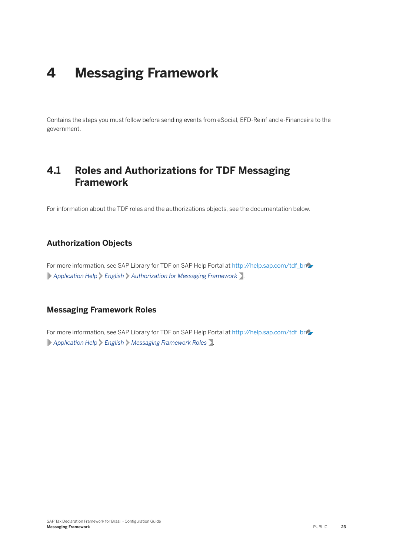## <span id="page-22-0"></span>**4 Messaging Framework**

Contains the steps you must follow before sending events from eSocial, EFD-Reinf and e-Financeira to the government.

### **4.1 Roles and Authorizations for TDF Messaging Framework**

For information about the TDF roles and the authorizations objects, see the documentation below.

#### **Authorization Objects**

For more information, see SAP Library for TDF on SAP Help Portal at [http://help.sap.com/tdf\\_br](http://help.sap.com/disclaimer?site=http%3A%2F%2Fhelp.sap.com%2Ftdf_br) *Application Help English Authorization for Messaging Framework* .

#### **Messaging Framework Roles**

For more information, see SAP Library for TDF on SAP Help Portal at [http://help.sap.com/tdf\\_br](http://help.sap.com/disclaimer?site=http%3A%2F%2Fhelp.sap.com%2Ftdf_br) *Application Help English Messaging Framework Roles* .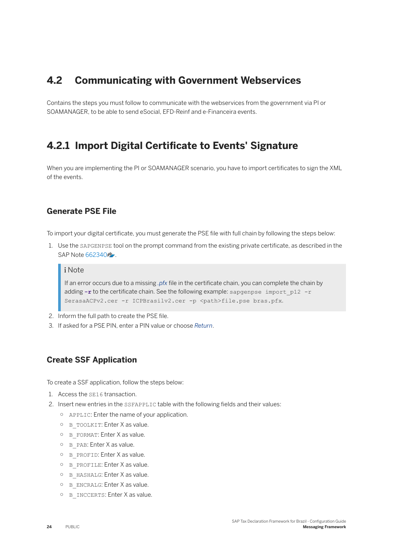### <span id="page-23-0"></span>**4.2 Communicating with Government Webservices**

Contains the steps you must follow to communicate with the webservices from the government via PI or SOAMANAGER, to be able to send eSocial, EFD-Reinf and e-Financeira events.

### **4.2.1 Import Digital Certificate to Events' Signature**

When you are implementing the PI or SOAMANAGER scenario, you have to import certificates to sign the XML of the events.

#### **Generate PSE File**

To import your digital certificate, you must generate the PSE file with full chain by following the steps below:

1. Use the SAPGENPSE tool on the prompt command from the existing private certificate, as described in the SAP Note [662340](http://help.sap.com/disclaimer?site=https://launchpad.support.sap.com/#/notes/662340) ...

#### i Note

If an error occurs due to a missing *.pfx* file in the certificate chain, you can complete the chain by adding -r to the certificate chain. See the following example: sapgenpse import p12 -r SerasaACPv2.cer -r ICPBrasilv2.cer -p <path>file.pse bras.pfx.

- 2. Inform the full path to create the PSE file.
- 3. If asked for a PSE PIN, enter a PIN value or choose *Return*.

#### **Create SSF Application**

To create a SSF application, follow the steps below:

- 1. Access the SE16 transaction.
- 2. Insert new entries in the SSFAPPLIC table with the following fields and their values:
	- APPLIC: Enter the name of your application.
	- B\_TOOLKIT: Enter X as value.
	- B\_FORMAT: Enter X as value.
	- B\_PAB: Enter X as value.
	- B\_PROFID: Enter X as value.
	- B\_PROFILE: Enter X as value.
	- B\_HASHALG: Enter X as value.
	- B\_ENCRALG: Enter X as value.
	- B\_INCCERTS: Enter X as value.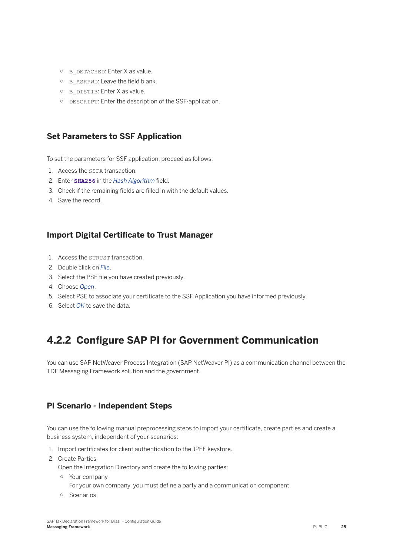- <span id="page-24-0"></span>○ B\_DETACHED: Enter X as value.
- $O$  B ASKPWD: Leave the field blank.
- B\_DISTIB: Enter X as value.
- DESCRIPT: Enter the description of the SSF-application.

#### **Set Parameters to SSF Application**

To set the parameters for SSF application, proceed as follows:

- 1. Access the SSFA transaction.
- 2. Enter **SHA256** in the *Hash Algorithm* field.
- 3. Check if the remaining fields are filled in with the default values.
- 4. Save the record.

#### **Import Digital Certificate to Trust Manager**

- 1. Access the STRUST transaction.
- 2. Double click on *File*.
- 3. Select the PSE file you have created previously.
- 4. Choose *Open*.
- 5. Select PSE to associate your certificate to the SSF Application you have informed previously.
- 6. Select *OK* to save the data.

## **4.2.2 Configure SAP PI for Government Communication**

You can use SAP NetWeaver Process Integration (SAP NetWeaver PI) as a communication channel between the TDF Messaging Framework solution and the government.

#### **PI Scenario - Independent Steps**

You can use the following manual preprocessing steps to import your certificate, create parties and create a business system, independent of your scenarios:

- 1. Import certificates for client authentication to the J2EE keystore.
- 2. Create Parties

Open the Integration Directory and create the following parties:

- Your company
	- For your own company, you must define a party and a communication component.
- Scenarios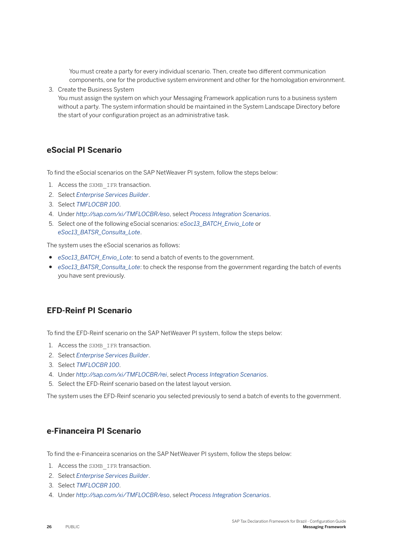You must create a party for every individual scenario. Then, create two different communication components, one for the productive system environment and other for the homologation environment.

3. Create the Business System

You must assign the system on which your Messaging Framework application runs to a business system without a party. The system information should be maintained in the System Landscape Directory before the start of your configuration project as an administrative task.

#### **eSocial PI Scenario**

To find the eSocial scenarios on the SAP NetWeaver PI system, follow the steps below:

- 1. Access the SXMB IFR transaction.
- 2. Select *Enterprise Services Builder*.
- 3. Select *TMFLOCBR 100*.
- 4. Under *http://sap.com/xi/TMFLOCBR/eso*, select *Process Integration Scenarios*.
- 5. Select one of the following eSocial scenarios: *eSoc13\_BATCH\_Envio\_Lote* or *eSoc13\_BATSR\_Consulta\_Lote*.

The system uses the eSocial scenarios as follows:

- *eSoc13\_BATCH\_Envio\_Lote*: to send a batch of events to the government.
- *eSoc13\_BATSR\_Consulta\_Lote*: to check the response from the government regarding the batch of events you have sent previously.

#### **EFD-Reinf PI Scenario**

To find the EFD-Reinf scenario on the SAP NetWeaver PI system, follow the steps below:

- 1. Access the SXMB IFR transaction.
- 2. Select *Enterprise Services Builder*.
- 3. Select *TMFLOCBR 100*.
- 4. Under *http://sap.com/xi/TMFLOCBR/rei*, select *Process Integration Scenarios*.
- 5. Select the EFD-Reinf scenario based on the latest layout version.

The system uses the EFD-Reinf scenario you selected previously to send a batch of events to the government.

#### **e-Financeira PI Scenario**

To find the e-Financeira scenarios on the SAP NetWeaver PI system, follow the steps below:

- 1. Access the SXMB IFR transaction.
- 2. Select *Enterprise Services Builder*.
- 3. Select *TMFLOCBR 100*.
- 4. Under *http://sap.com/xi/TMFLOCBR/eso*, select *Process Integration Scenarios*.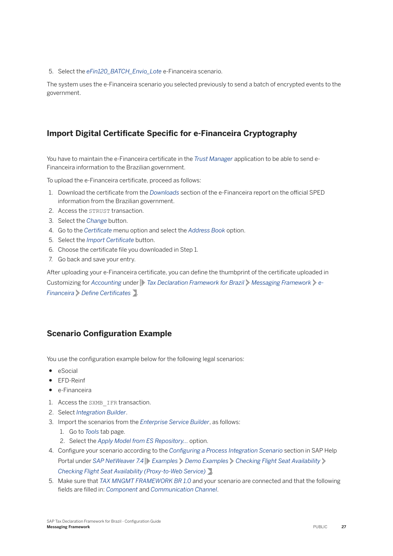5. Select the *eFin120\_BATCH\_Envio\_Lote* e-Financeira scenario.

The system uses the e-Financeira scenario you selected previously to send a batch of encrypted events to the government.

#### **Import Digital Certificate Specific for e-Financeira Cryptography**

You have to maintain the e-Financeira certificate in the *Trust Manager* application to be able to send e-Financeira information to the Brazilian government.

To upload the e-Financeira certificate, proceed as follows:

- 1. Download the certificate from the *Downloads* section of the e-Financeira report on the official SPED information from the Brazilian government.
- 2. Access the STRUST transaction.
- 3. Select the *Change* button.
- 4. Go to the *Certificate* menu option and select the *Address Book* option.
- 5. Select the *Import Certificate* button.
- 6. Choose the certificate file you downloaded in Step 1.
- 7. Go back and save your entry.

After uploading your e-Financeira certificate, you can define the thumbprint of the certificate uploaded in Customizing for *Accounting* under *Tax Declaration Framework for Brazil Messaging Framework e-Financeira Define Certificates* .

#### **Scenario Configuration Example**

You use the configuration example below for the following legal scenarios:

- eSocial
- EFD-Reinf
- e-Financeira
- 1. Access the SXMB IFR transaction.
- 2. Select *Integration Builder*.
- 3. Import the scenarios from the *Enterprise Service Builder*, as follows:
	- 1. Go to *Tools* tab page.
	- 2. Select the *Apply Model from ES Repository...* option.
- 4. Configure your scenario according to the *Configuring a Process Integration Scenario* section in SAP Help Portal under *SAP NetWeaver 7.4* Examples *Demo Examples Decking Flight Seat Availability Checking Flight Seat Availability (Proxy-to-Web Service)* .
- 5. Make sure that *TAX MNGMT FRAMEWORK BR 1.0* and your scenario are connected and that the following fields are filled in: *Component* and *Communication Channel*.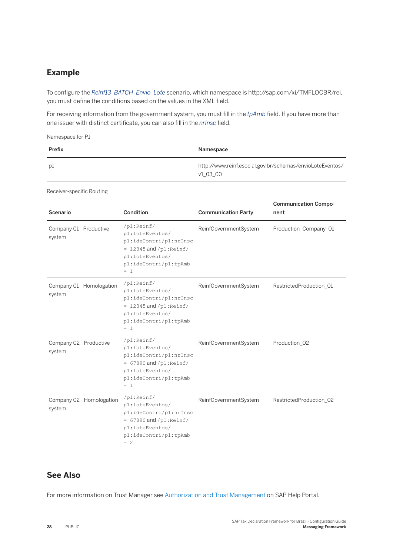#### **Example**

To configure the *Reinf13\_BATCH\_Envio\_Lote* scenario, which namespace is http://sap.com/xi/TMFLOCBR/rei, you must define the conditions based on the values in the XML field.

For receiving information from the government system, you must fill in the *tpAmb* field. If you have more than one issuer with distinct certificate, you can also fill in the *nrInsc* field.

Namespace for P1

| Prefix | Namespace                                                             |
|--------|-----------------------------------------------------------------------|
| рl     | http://www.reinf.esocial.gov.br/schemas/envioLoteEventos/<br>v1 03 00 |

Receiver-specific Routing

| Scenario                            | Condition                                                                                                                                                 | <b>Communication Party</b> | <b>Communication Compo-</b><br>nent |
|-------------------------------------|-----------------------------------------------------------------------------------------------------------------------------------------------------------|----------------------------|-------------------------------------|
| Company 01 - Productive<br>system   | /p1:Reinf/<br>p1:loteEventos/<br>pl:ideContri/pl:nrInsc<br>$= 12345$ and $\sqrt{p1}$ : Reinf/<br>p1:loteEventos/<br>pl:ideContri/pl:tpAmb<br>$= 1$        | ReinfGovernmentSystem      | Production_Company_01               |
| Company 01 - Homologation<br>system | $\sqrt{p1:Reinf/}$<br>p1:loteEventos/<br>pl:ideContri/pl:nrInsc<br>$= 12345$ and $/p1$ : Reinf/<br>p1:loteEventos/<br>pl:ideContri/pl:tpAmb<br>$= 1$      | ReinfGovernmentSystem      | RestrictedProduction_01             |
| Company 02 - Productive<br>system   | $\sqrt{p1:Reinf/}$<br>p1:loteEventos/<br>pl:ideContri/pl:nrInsc<br>$= 67890$ and $\sqrt{p1:}$ Reinf/<br>pl:loteEventos/<br>pl:ideContri/pl:tpAmb<br>$= 1$ | ReinfGovernmentSystem      | Production_02                       |
| Company 02 - Homologation<br>system | /p1:Reinf/<br>p1:loteEventos/<br>pl:ideContri/pl:nrInsc<br>$= 67890$ and $/p1$ : Reinf/<br>p1:loteEventos/<br>pl:ideContri/pl:tpAmb<br>$= 2$              | ReinfGovernmentSystem      | RestrictedProduction_02             |

#### **See Also**

For more information on Trust Manager see [Authorization and Trust Management](https://help.sap.com/viewer/product/DRAFT/CP_AUTHORIZ_TRUST_MNG/latest/en-US) on SAP Help Portal.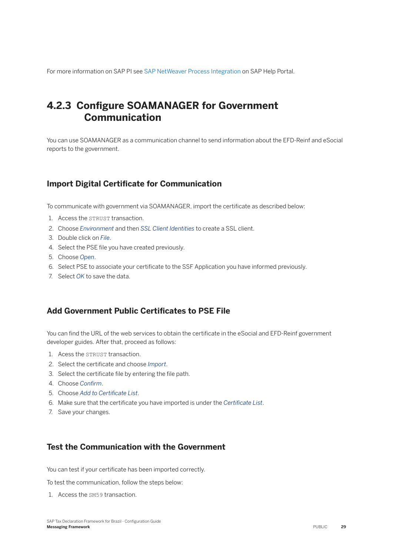<span id="page-28-0"></span>For more information on SAP PI see [SAP NetWeaver Process Integration](https://help.sap.com/viewer/bbd7c67c5eb14835843976b790024ec6/latest/en-US/8e995afa7a8d467f95a473afafafa07e.html) on SAP Help Portal.

## **4.2.3 Configure SOAMANAGER for Government Communication**

You can use SOAMANAGER as a communication channel to send information about the EFD-Reinf and eSocial reports to the government.

#### **Import Digital Certificate for Communication**

To communicate with government via SOAMANAGER, import the certificate as described below:

- 1. Access the STRUST transaction.
- 2. Choose *Environment* and then *SSL Client Identities* to create a SSL client.
- 3. Double click on *File*.
- 4. Select the PSE file you have created previously.
- 5. Choose *Open*.
- 6. Select PSE to associate your certificate to the SSF Application you have informed previously.
- 7. Select *OK* to save the data.

#### **Add Government Public Certificates to PSE File**

You can find the URL of the web services to obtain the certificate in the eSocial and EFD-Reinf government developer guides. After that, proceed as follows:

- 1. Acess the STRUST transaction.
- 2. Select the certificate and choose *Import*.
- 3. Select the certificate file by entering the file path.
- 4. Choose *Conʥrm*.
- 5. Choose *Add to Certificate List*.
- 6. Make sure that the certificate you have imported is under the *Certificate List*.
- 7. Save your changes.

#### **Test the Communication with the Government**

You can test if your certificate has been imported correctly.

To test the communication, follow the steps below:

1. Access the SM59 transaction.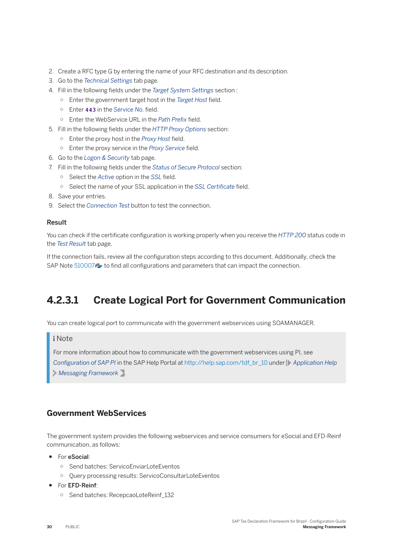- 2. Create a RFC type G by entering the name of your RFC destination and its description.
- 3. Go to the *Technical Settings* tab page.
- 4. Fill in the following fields under the *Target System Settings* section :
	- $\circ$  Enter the government target host in the *Target Host* field.
	- $\circ$  Enter 443 in the *Service No.* field.
	- $\circ$  Enter the WebService URL in the *Path Prefix* field.
- 5. Fill in the following fields under the *HTTP Proxy Options* section:
	- $\circ$  Enter the proxy host in the *Proxy Host* field.
	- $\circ$  Enter the proxy service in the *Proxy Service* field.
- 6. Go to the *Logon & Security* tab page.
- 7. Fill in the following fields under the *Status of Secure Protocol* section:
	- $\circ$  Select the *Active* option in the *SSL* field.
	- Select the name of your SSL application in the *SSL Certificate* field.
- 8. Save your entries.
- 9. Select the *Connection Test* button to test the connection.

#### Result

You can check if the certificate configuration is working properly when you receive the *HTTP 200* status code in the *Test Result* tab page.

If the connection fails, review all the configuration steps according to this document. Additionally, check the SAP Note [510007](http://help.sap.com/disclaimer?site=https://launchpad.support.sap.com/#/notes/510007) to find all configurations and parameters that can impact the connection.

## **4.2.3.1 Create Logical Port for Government Communication**

You can create logical port to communicate with the government webservices using SOAMANAGER.

#### i Note

For more information about how to communicate with the government webservices using PI, see *Configuration of SAP PI* in the SAP Help Portal at [http://help.sap.com/tdf\\_br\\_10](http://help.sap.com/tdf_br_10) under **Application Help** *Messaging Framework* .

#### **Government WebServices**

The government system provides the following webservices and service consumers for eSocial and EFD-Reinf communication, as follows:

- For eSocial:
	- Send batches: ServicoEnviarLoteEventos
	- Query processing results: ServicoConsultarLoteEventos
- For EFD-Reinf:
	- Send batches: RecepcaoLoteReinf\_132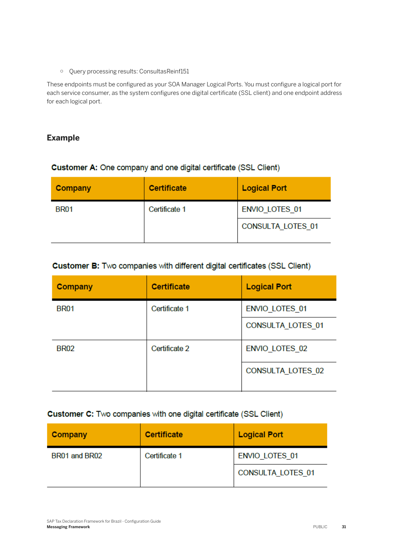○ Query processing results: ConsultasReinf151

These endpoints must be configured as your SOA Manager Logical Ports. You must configure a logical port for each service consumer, as the system configures one digital certificate (SSL client) and one endpoint address for each logical port.

#### **Example**

#### Customer A: One company and one digital certificate (SSL Client)

| Company     | <b>Certificate</b> | <b>Logical Port</b>   |
|-------------|--------------------|-----------------------|
| <b>BR01</b> | Certificate 1      | <b>ENVIO LOTES 01</b> |
|             |                    | CONSULTA_LOTES_01     |

#### Customer B: Two companies with different digital certificates (SSL Client)

| Company     | <b>Certificate</b> | <b>Logical Port</b>      |
|-------------|--------------------|--------------------------|
| <b>BR01</b> | Certificate 1      | ENVIO_LOTES_01           |
|             |                    | <b>CONSULTA LOTES 01</b> |
| <b>BR02</b> | Certificate 2      | <b>ENVIO LOTES 02</b>    |
|             |                    | CONSULTA_LOTES_02        |

#### Customer C: Two companies with one digital certificate (SSL Client)

| Company       | <b>Certificate</b> | <b>Logical Port</b>      |
|---------------|--------------------|--------------------------|
| BR01 and BR02 | Certificate 1      | <b>ENVIO LOTES 01</b>    |
|               |                    | <b>CONSULTA LOTES 01</b> |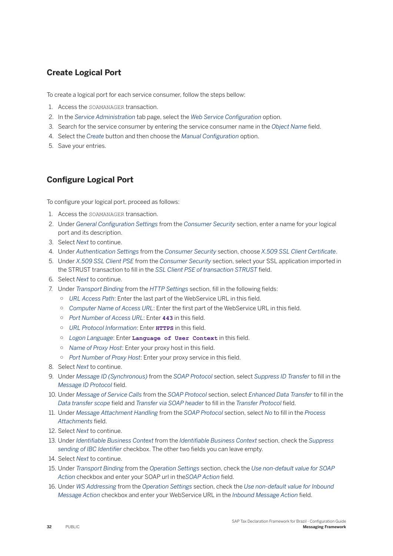#### **Create Logical Port**

To create a logical port for each service consumer, follow the steps bellow:

- 1. Access the SOAMANAGER transaction.
- 2. In the *Service Administration* tab page, select the *Web Service Configuration* option.
- 3. Search for the service consumer by entering the service consumer name in the *Object Name* field.
- 4. Select the *Create* button and then choose the *Manual Configuration* option.
- 5. Save your entries.

#### **Configure Logical Port**

To configure your logical port, proceed as follows:

- 1. Access the SOAMANAGER transaction.
- 2. Under *General Configuration Settings* from the *Consumer Security* section, enter a name for your logical port and its description.
- 3. Select *Next* to continue.
- 4. Under *Authentication Settings* from the *Consumer Security* section, choose *X.509 SSL Client Certificate*.
- 5. Under *X.509 SSL Client PSE* from the *Consumer Security* section, select your SSL application imported in the STRUST transaction to fill in the *SSL Client PSE of transaction STRUST* field.
- 6. Select *Next* to continue.
- 7. Under *Transport Binding* from the *HTTP Settings* section, fill in the following fields:
	- *URL Access Path*: Enter the last part of the WebService URL in this field.
	- *Computer Name of Access URL*: Enter the first part of the WebService URL in this field.
	- *Port Number of Access URL*: Enter 443 in this field.
	- *URL Protocol Information:* Fnter **HTTPS** in this field.
	- *Logon Language*: Enter **Language of User Context** in this fieOd.
	- <sup>o</sup> Name of Proxy Host: Enter your proxy host in this field.
	- <sup>o</sup> *Port Number of Proxy Host*: Enter your proxy service in this field.
- 8. Select *Next* to continue.
- 9. Under *Message ID (Synchronous)* from the *SOAP Protocol* section, select *Suppress ID Transfer* to fill in the *Message ID Protocol field.*
- 10. Under *Message of Service Calls* from the *SOAP Protocol* section, select *Enhanced Data Transfer* to fill in the *Data transfer scope* field and *Transfer via SOAP header* to fill in the *Transfer Protocol* field.
- 11. Under *Message Attachment Handling* from the *SOAP Protocol* section, select *No* to fill in the *Process* Attachments field.
- 12. Select *Next* to continue.
- 13. Under *Identifiable Business Context* from the *Identifiable Business Context* section, check the *Suppress* sending of IBC Identifier checkbox. The other two fields you can leave empty.
- 14. Select *Next* to continue.
- 15. Under *Transport Binding* from the *Operation Settings* section, check the *Use non-default value for SOAP*  Action checkbox and enter your SOAP url in the SOAP Action field.
- 16. Under *WS Addressing* from the *Operation Settings* section, check the *Use non-default value for Inbound Message Action* checkbox and enter your WebService URL in the *Inbound Message Action* field.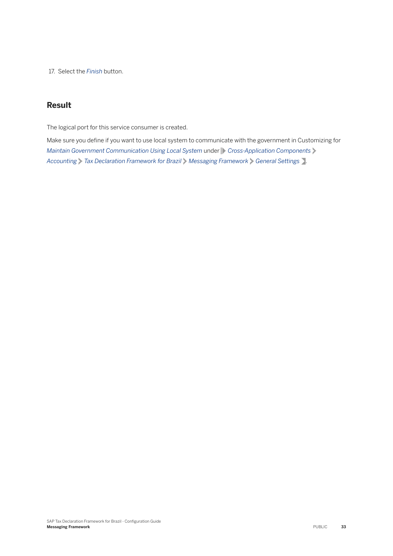17. Select the *Finish* button.

#### **Result**

The logical port for this service consumer is created.

Make sure you define if you want to use local system to communicate with the government in Customizing for *Maintain Government Communication Using Local System under Cross-Application Components Accounting Tax Declaration Framework for Brazil Messaging Framework General Settings* .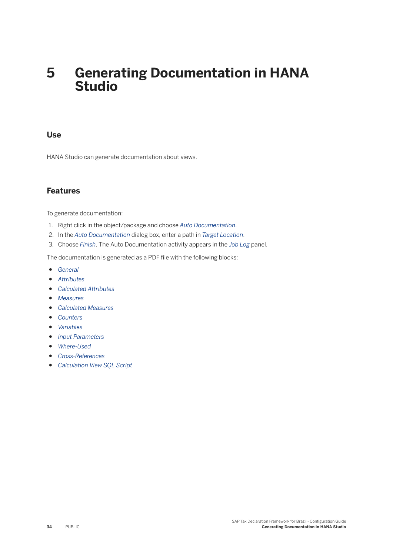## <span id="page-33-0"></span>**5 Generating Documentation in HANA Studio**

#### **Use**

HANA Studio can generate documentation about views.

#### **Features**

To generate documentation:

- 1. Right click in the object/package and choose *Auto Documentation*.
- 2. In the *Auto Documentation* dialog box, enter a path in *Target Location*.
- 3. Choose *Finish*. The Auto Documentation activity appears in the *Job Log* panel.

The documentation is generated as a PDF file with the following blocks:

- *General*
- *Attributes*
- *Calculated Attributes*
- *Measures*
- *Calculated Measures*
- *Counters*
- *Variables*
- *Input Parameters*
- *Where-Used*
- *Cross-References*
- *Calculation View SQL Script*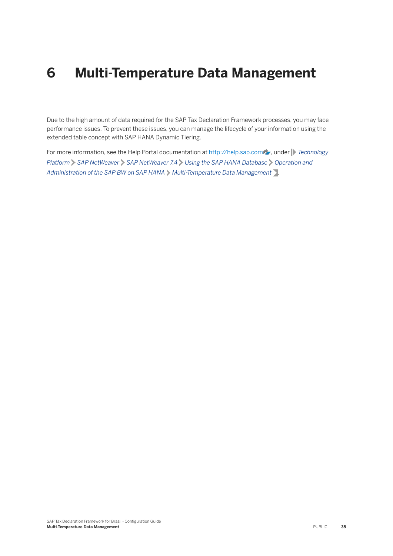## <span id="page-34-0"></span>**6 Multi-Temperature Data Management**

Due to the high amount of data required for the SAP Tax Declaration Framework processes, you may face performance issues. To prevent these issues, you can manage the lifecycle of your information using the extended table concept with SAP HANA Dynamic Tiering.

For more information, see the Help Portal documentation at [http://help.sap.com](http://help.sap.com/disclaimer?site=http%3A%2F%2Fhelp.sap.com) , under **F**echnology *Platform SAP NetWeaver SAP NetWeaver 7.4 Using the SAP HANA Database Operation and*  Administration of the SAP BW on SAP HANA > Multi-Temperature Data Management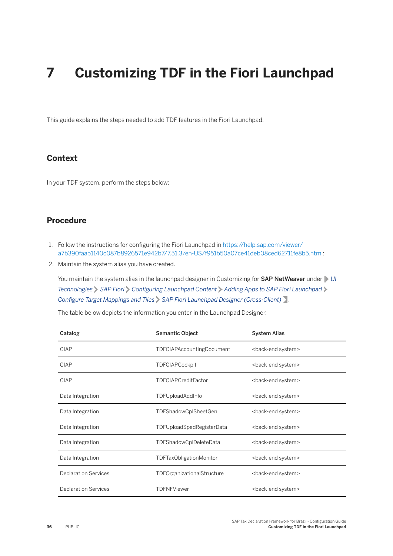## <span id="page-35-0"></span>**7 Customizing TDF in the Fiori Launchpad**

This guide explains the steps needed to add TDF features in the Fiori Launchpad.

#### **Context**

In your TDF system, perform the steps below:

#### **Procedure**

- 1. Follow the instructions for configuring the Fiori Launchpad in [https://help.sap.com/viewer/](https://help.sap.com/viewer/a7b390faab1140c087b8926571e942b7/7.51.3/en-US/f951b50a07ce41deb08ced62711fe8b5.html) [a7b390faab1140c087b8926571e942b7/7.51.3/en-US/f951b50a07ce41deb08ced62711fe8b5.html](https://help.sap.com/viewer/a7b390faab1140c087b8926571e942b7/7.51.3/en-US/f951b50a07ce41deb08ced62711fe8b5.html):
- 2. Maintain the system alias you have created.

You maintain the system alias in the launchpad designer in Customizing for **SAP NetWeaver** under *UI Technologies* > SAP Fiori > Configuring Launchpad Content > Adding Apps to SAP Fiori Launchpad *Configure Target Mappings and Tiles*  $\triangleright$  SAP Fiori Launchpad Designer (Cross-Client) .

The table below depicts the information you enter in the Launchpad Designer.

| Catalog                     | Semantic Object                  | <b>System Alias</b>             |
|-----------------------------|----------------------------------|---------------------------------|
| <b>CIAP</b>                 | <b>TDFCIAPAccountingDocument</b> | <back-end system=""></back-end> |
| CIAP                        | <b>TDFCIAPCockpit</b>            | <back-end system=""></back-end> |
| <b>CIAP</b>                 | <b>TDFCIAPCreditFactor</b>       | <back-end system=""></back-end> |
| Data Integration            | TDFUploadAddInfo                 | <back-end system=""></back-end> |
| Data Integration            | TDFShadowCplSheetGen             | <back-end system=""></back-end> |
| Data Integration            | TDFUploadSpedRegisterData        | <back-end system=""></back-end> |
| Data Integration            | TDFShadowCplDeleteData           | <back-end system=""></back-end> |
| Data Integration            | TDFTaxObligationMonitor          | <back-end system=""></back-end> |
| <b>Declaration Services</b> | TDFOrganizationalStructure       | <back-end system=""></back-end> |
| <b>Declaration Services</b> | <b>TDFNFViewer</b>               | <back-end system=""></back-end> |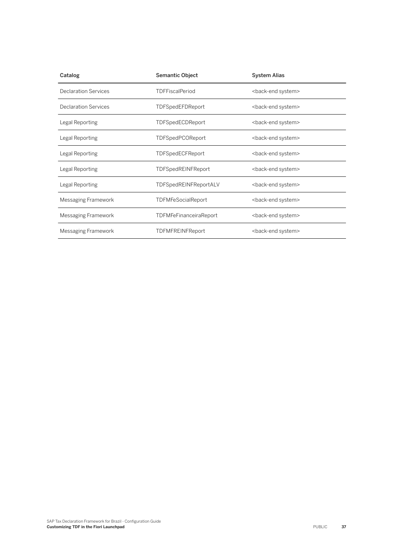| Catalog                     | Semantic Object               | <b>System Alias</b>             |
|-----------------------------|-------------------------------|---------------------------------|
| <b>Declaration Services</b> | <b>TDFFiscalPeriod</b>        | <back-end system=""></back-end> |
| <b>Declaration Services</b> | TDFSpedEFDReport              | <back-end system=""></back-end> |
| Legal Reporting             | TDFSpedECDReport              | <back-end system=""></back-end> |
| Legal Reporting             | TDFSpedPCOReport              | <back-end system=""></back-end> |
| Legal Reporting             | TDFSpedECFReport              | <back-end system=""></back-end> |
| Legal Reporting             | <b>TDFSpedREINFReport</b>     | <back-end system=""></back-end> |
| Legal Reporting             | TDFSpedREINFReportALV         | <back-end system=""></back-end> |
| Messaging Framework         | <b>TDFMFeSocialReport</b>     | <back-end system=""></back-end> |
| Messaging Framework         | <b>TDFMFeFinanceiraReport</b> | <back-end system=""></back-end> |
| Messaging Framework         | <b>TDFMFREINFReport</b>       | <back-end system=""></back-end> |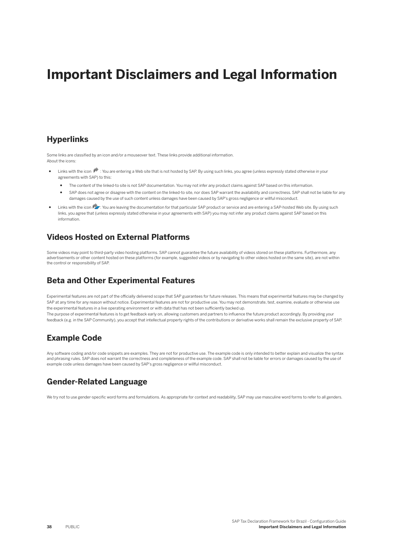## **Important Disclaimers and Legal Information**

#### **Hyperlinks**

Some links are classified by an icon and/or a mouseover text. These links provide additional information. About the icons:

- Links with the icon  $\bullet$ : You are entering a Web site that is not hosted by SAP. By using such links, you agree (unless expressly stated otherwise in your agreements with SAP) to this:
	- The content of the linked-to site is not SAP documentation. You may not infer any product claims against SAP based on this information.
	- SAP does not agree or disagree with the content on the linked-to site, nor does SAP warrant the availability and correctness. SAP shall not be liable for any damages caused by the use of such content unless damages have been caused by SAP's gross negligence or willful misconduct.
- Links with the icon  $\sim$ : You are leaving the documentation for that particular SAP product or service and are entering a SAP-hosted Web site. By using such links, you agree that (unless expressly stated otherwise in your agreements with SAP) you may not infer any product claims against SAP based on this information.

### **Videos Hosted on External Platforms**

Some videos may point to third-party video hosting platforms. SAP cannot guarantee the future availability of videos stored on these platforms. Furthermore, any advertisements or other content hosted on these platforms (for example, suggested videos or by navigating to other videos hosted on the same site), are not within the control or responsibility of SAP.

#### **Beta and Other Experimental Features**

Experimental features are not part of the officially delivered scope that SAP guarantees for future releases. This means that experimental features may be changed by SAP at any time for any reason without notice. Experimental features are not for productive use. You may not demonstrate, test, examine, evaluate or otherwise use the experimental features in a live operating environment or with data that has not been sufficiently backed up. The purpose of experimental features is to get feedback early on, allowing customers and partners to influence the future product accordingly. By providing your feedback (e.g. in the SAP Community), you accept that intellectual property rights of the contributions or derivative works shall remain the exclusive property of SAP.

#### **Example Code**

Any software coding and/or code snippets are examples. They are not for productive use. The example code is only intended to better explain and visualize the syntax and phrasing rules. SAP does not warrant the correctness and completeness of the example code. SAP shall not be liable for errors or damages caused by the use of example code unless damages have been caused by SAP's gross negligence or willful misconduct.

#### **Gender-Related Language**

We try not to use gender-specific word forms and formulations. As appropriate for context and readability, SAP may use masculine word forms to refer to all genders.